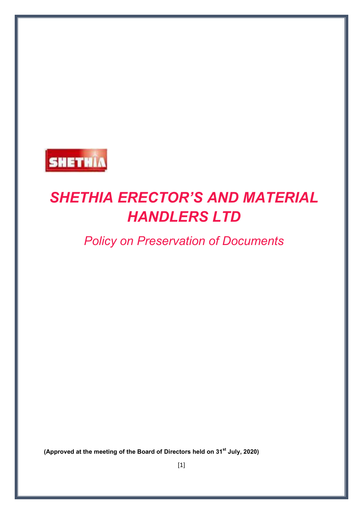

# *SHETHIA ERECTOR'S AND MATERIAL HANDLERS LTD*

# *Policy on Preservation of Documents*

**(Approved at the meeting of the Board of Directors held on 31st July, 2020)**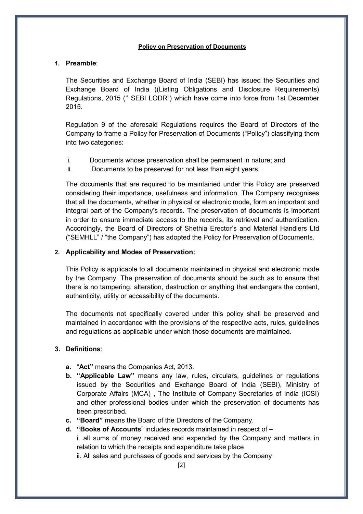#### **Policy on Preservation of Documents**

## **1. Preamble**:

The Securities and Exchange Board of India (SEBI) has issued the Securities and Exchange Board of India ((Listing Obligations and Disclosure Requirements) Regulations, 2015 ('' SEBI LODR") which have come into force from 1st December 2015.

Regulation 9 of the aforesaid Regulations requires the Board of Directors of the Company to frame a Policy for Preservation of Documents ("Policy") classifying them into two categories:

- i. Documents whose preservation shall be permanent in nature; and
- ii. Documents to be preserved for not less than eight years.

The documents that are required to be maintained under this Policy are preserved considering their importance, usefulness and information. The Company recognises that all the documents, whether in physical or electronic mode, form an important and integral part of the Company's records. The preservation of documents is important in order to ensure immediate access to the records, its retrieval and authentication. Accordingly, the Board of Directors of Shethia Erector's and Material Handlers Ltd ("SEMHLL" / "the Company") has adopted the Policy for Preservation of Documents.

## **2. Applicability and Modes of Preservation:**

This Policy is applicable to all documents maintained in physical and electronic mode by the Company. The preservation of documents should be such as to ensure that there is no tampering, alteration, destruction or anything that endangers the content, authenticity, utility or accessibility of the documents.

The documents not specifically covered under this policy shall be preserved and maintained in accordance with the provisions of the respective acts, rules, guidelines and regulations as applicable under which those documents are maintained.

# **3. Definitions**:

- **a.** "**Act"** means the Companies Act, 2013.
- **b. "Applicable Law"** means any law, rules, circulars, guidelines or regulations issued by the Securities and Exchange Board of India (SEBI), Ministry of Corporate Affairs (MCA) , The Institute of Company Secretaries of India (ICSI) and other professional bodies under which the preservation of documents has been prescribed.
- **c. "Board"** means the Board of the Directors of the Company.

**d. "Books of Accounts**" includes records maintained in respect of **–** i. all sums of money received and expended by the Company and matters in relation to which the receipts and expenditure take place ii. All sales and purchases of goods and services by the Company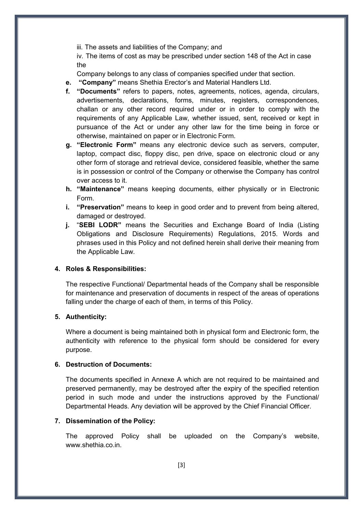iii. The assets and liabilities of the Company; and

iv. The items of cost as may be prescribed under section 148 of the Act in case the

Company belongs to any class of companies specified under that section.

- **e. "Company"** means Shethia Erector's and Material Handlers Ltd.
- **f. "Documents"** refers to papers, notes, agreements, notices, agenda, circulars, advertisements, declarations, forms, minutes, registers, correspondences, challan or any other record required under or in order to comply with the requirements of any Applicable Law, whether issued, sent, received or kept in pursuance of the Act or under any other law for the time being in force or otherwise, maintained on paper or in Electronic Form.
- **g. "Electronic Form"** means any electronic device such as servers, computer, laptop, compact disc, floppy disc, pen drive, space on electronic cloud or any other form of storage and retrieval device, considered feasible, whether the same is in possession or control of the Company or otherwise the Company has control over access to it.
- **h. "Maintenance"** means keeping documents, either physically or in Electronic Form.
- **i. "Preservation"** means to keep in good order and to prevent from being altered, damaged or destroyed.
- **j.** "**SEBI LODR"** means the Securities and Exchange Board of India (Listing Obligations and Disclosure Requirements) Regulations, 2015. Words and phrases used in this Policy and not defined herein shall derive their meaning from the Applicable Law.

#### **4. Roles & Responsibilities:**

The respective Functional/ Departmental heads of the Company shall be responsible for maintenance and preservation of documents in respect of the areas of operations falling under the charge of each of them, in terms of this Policy.

#### **5. Authenticity:**

Where a document is being maintained both in physical form and Electronic form, the authenticity with reference to the physical form should be considered for every purpose.

# **6. Destruction of Documents:**

The documents specified in Annexe A which are not required to be maintained and preserved permanently, may be destroyed after the expiry of the specified retention period in such mode and under the instructions approved by the Functional/ Departmental Heads. Any deviation will be approved by the Chief Financial Officer.

#### **7. Dissemination of the Policy:**

The approved Policy shall be uploaded on the Company's website, [www.shethia.co.in.](http://www.shethia.co.in/)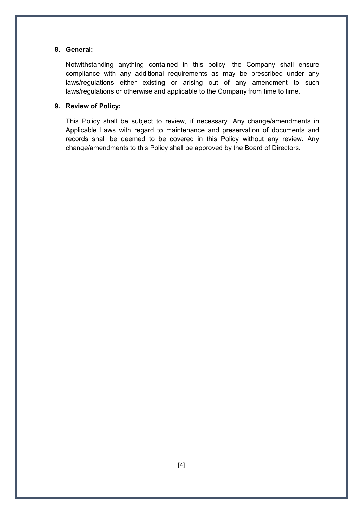# **8. General:**

Notwithstanding anything contained in this policy, the Company shall ensure compliance with any additional requirements as may be prescribed under any laws/regulations either existing or arising out of any amendment to such laws/regulations or otherwise and applicable to the Company from time to time.

# **9. Review of Policy:**

This Policy shall be subject to review, if necessary. Any change/amendments in Applicable Laws with regard to maintenance and preservation of documents and records shall be deemed to be covered in this Policy without any review. Any change/amendments to this Policy shall be approved by the Board of Directors.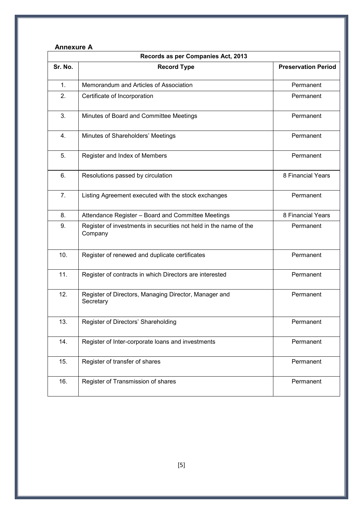# **Annexure A**

| Records as per Companies Act, 2013 |                                                                              |                            |  |  |
|------------------------------------|------------------------------------------------------------------------------|----------------------------|--|--|
| Sr. No.                            | <b>Record Type</b>                                                           | <b>Preservation Period</b> |  |  |
| 1.                                 | Memorandum and Articles of Association                                       | Permanent                  |  |  |
| 2.                                 | Certificate of Incorporation                                                 | Permanent                  |  |  |
| 3.                                 | Minutes of Board and Committee Meetings                                      | Permanent                  |  |  |
| 4.                                 | Minutes of Shareholders' Meetings                                            | Permanent                  |  |  |
| 5.                                 | Register and Index of Members                                                | Permanent                  |  |  |
| 6.                                 | Resolutions passed by circulation                                            | 8 Financial Years          |  |  |
| 7.                                 | Listing Agreement executed with the stock exchanges                          | Permanent                  |  |  |
| 8.                                 | Attendance Register - Board and Committee Meetings                           | 8 Financial Years          |  |  |
| 9.                                 | Register of investments in securities not held in the name of the<br>Company | Permanent                  |  |  |
| 10.                                | Register of renewed and duplicate certificates                               | Permanent                  |  |  |
| 11.                                | Register of contracts in which Directors are interested                      | Permanent                  |  |  |
| 12.                                | Register of Directors, Managing Director, Manager and<br>Secretary           | Permanent                  |  |  |
| 13.                                | Register of Directors' Shareholding                                          | Permanent                  |  |  |
| 14.                                | Register of Inter-corporate loans and investments                            | Permanent                  |  |  |
| 15.                                | Register of transfer of shares                                               | Permanent                  |  |  |
| 16.                                | Register of Transmission of shares                                           | Permanent                  |  |  |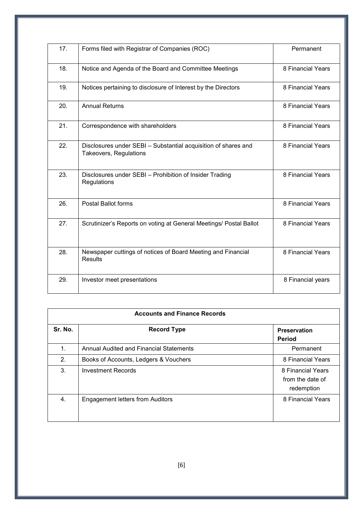| 17. | Forms filed with Registrar of Companies (ROC)                                            | Permanent         |
|-----|------------------------------------------------------------------------------------------|-------------------|
| 18. | Notice and Agenda of the Board and Committee Meetings                                    | 8 Financial Years |
| 19. | Notices pertaining to disclosure of Interest by the Directors                            | 8 Financial Years |
| 20. | <b>Annual Returns</b>                                                                    | 8 Financial Years |
| 21. | Correspondence with shareholders                                                         | 8 Financial Years |
| 22. | Disclosures under SEBI - Substantial acquisition of shares and<br>Takeovers, Regulations | 8 Financial Years |
| 23. | Disclosures under SEBI - Prohibition of Insider Trading<br>Regulations                   | 8 Financial Years |
| 26. | <b>Postal Ballot forms</b>                                                               | 8 Financial Years |
| 27. | Scrutinizer's Reports on voting at General Meetings/ Postal Ballot                       | 8 Financial Years |
| 28. | Newspaper cuttings of notices of Board Meeting and Financial<br><b>Results</b>           | 8 Financial Years |
| 29. | Investor meet presentations                                                              | 8 Financial years |

| <b>Accounts and Finance Records</b> |                                         |                                                     |  |  |
|-------------------------------------|-----------------------------------------|-----------------------------------------------------|--|--|
| Sr. No.                             | <b>Record Type</b>                      | <b>Preservation</b><br><b>Period</b>                |  |  |
| 1.                                  | Annual Audited and Financial Statements | Permanent                                           |  |  |
| 2.                                  | Books of Accounts, Ledgers & Vouchers   | 8 Financial Years                                   |  |  |
| 3.                                  | Investment Records                      | 8 Financial Years<br>from the date of<br>redemption |  |  |
| 4.                                  | <b>Engagement letters from Auditors</b> | 8 Financial Years                                   |  |  |